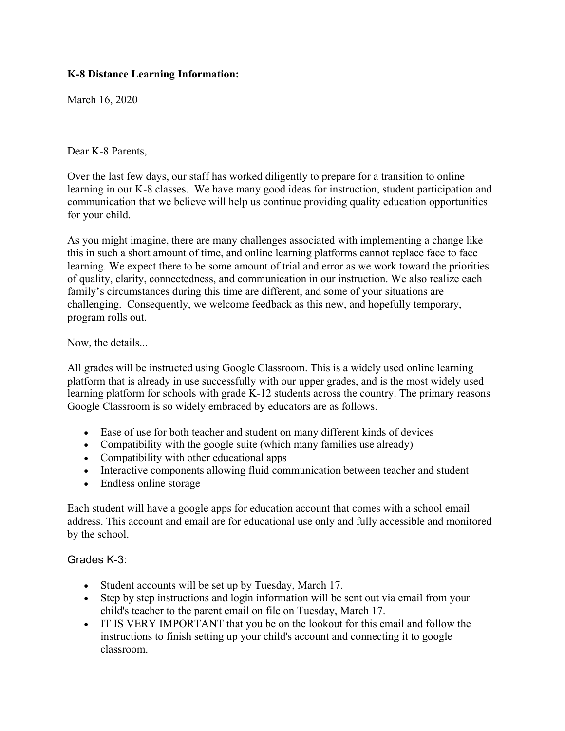## **K-8 Distance Learning Information:**

March 16, 2020

Dear K-8 Parents,

Over the last few days, our staff has worked diligently to prepare for a transition to online learning in our K-8 classes. We have many good ideas for instruction, student participation and communication that we believe will help us continue providing quality education opportunities for your child.

As you might imagine, there are many challenges associated with implementing a change like this in such a short amount of time, and online learning platforms cannot replace face to face learning. We expect there to be some amount of trial and error as we work toward the priorities of quality, clarity, connectedness, and communication in our instruction. We also realize each family's circumstances during this time are different, and some of your situations are challenging. Consequently, we welcome feedback as this new, and hopefully temporary, program rolls out.

Now, the details...

All grades will be instructed using Google Classroom. This is a widely used online learning platform that is already in use successfully with our upper grades, and is the most widely used learning platform for schools with grade K-12 students across the country. The primary reasons Google Classroom is so widely embraced by educators are as follows.

- Ease of use for both teacher and student on many different kinds of devices
- Compatibility with the google suite (which many families use already)
- Compatibility with other educational apps
- Interactive components allowing fluid communication between teacher and student
- Endless online storage

Each student will have a google apps for education account that comes with a school email address. This account and email are for educational use only and fully accessible and monitored by the school.

## Grades K-3:

- Student accounts will be set up by Tuesday, March 17.
- Step by step instructions and login information will be sent out via email from your child's teacher to the parent email on file on Tuesday, March 17.
- IT IS VERY IMPORTANT that you be on the lookout for this email and follow the instructions to finish setting up your child's account and connecting it to google classroom.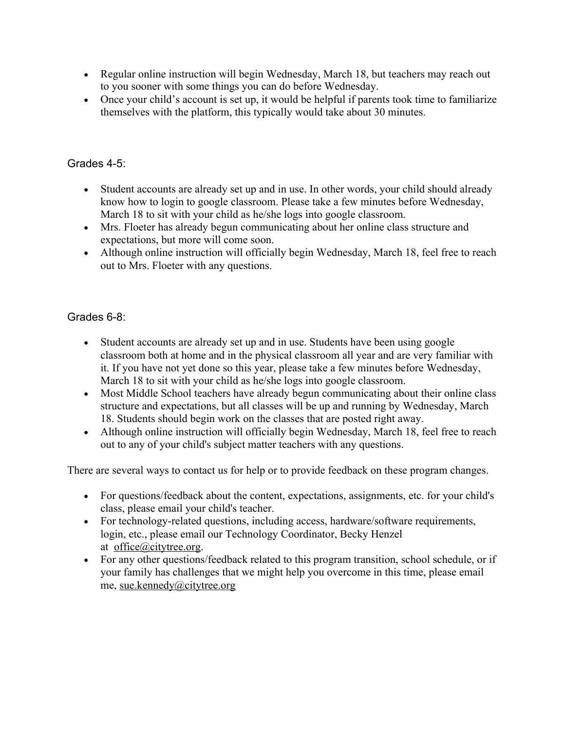- Regular online instruction will begin Wednesday, March 18, but teachers may reach out to you sooner with some things you can do before Wednesday.
- Once your child's account is set up, it would be helpful if parents took time to familiarize themselves with the platform, this typically would take about 30 minutes.

## Grades 4-5:

- Student accounts are already set up and in use. In other words, your child should already know how to login to google classroom. Please take a few minutes before Wednesday, March 18 to sit with your child as he/she logs into google classroom.
- Mrs. Floeter has already begun communicating about her online class structure and expectations, but more will come soon.
- Although online instruction will officially begin Wednesday, March 18, feel free to reach out to Mrs. Floeter with any questions.

## Grades 6-8:

- Student accounts are already set up and in use. Students have been using google classroom both at home and in the physical classroom all year and are very familiar with it. If you have not yet done so this year, please take a few minutes before Wednesday, March 18 to sit with your child as he/she logs into google classroom.
- Most Middle School teachers have already begun communicating about their online class structure and expectations, but all classes will be up and running by Wednesday, March 18. Students should begin work on the classes that are posted right away.
- Although online instruction will officially begin Wednesday, March 18, feel free to reach out to any of your child's subject matter teachers with any questions.

There are several ways to contact us for help or to provide feedback on these program changes.

- For questions/feedback about the content, expectations, assignments, etc. for your child's class, please email your child's teacher.
- For technology-related questions, including access, hardware/software requirements, login, etc., please email our Technology Coordinator, Becky Henzel at office@citytree.org.
- For any other questions/feedback related to this program transition, school schedule, or if your family has challenges that we might help you overcome in this time, please email me, sue.kennedy@citytree.org